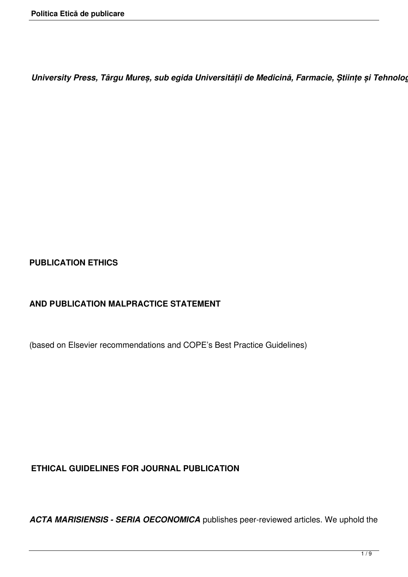*University Press, Târgu Mureș, sub egida Universității de Medicină, Farmacie, Științe și Tehnologie "George Emil Palade" din Târgu-Mureș*

# **PUBLICATION ETHICS**

# **AND PUBLICATION MALPRACTICE STATEMENT**

(based on Elsevier recommendations and COPE's Best Practice Guidelines)

# **ETHICAL GUIDELINES FOR JOURNAL PUBLICATION**

*ACTA MARISIENSIS - SERIA OECONOMICA* publishes peer-reviewed articles. We uphold the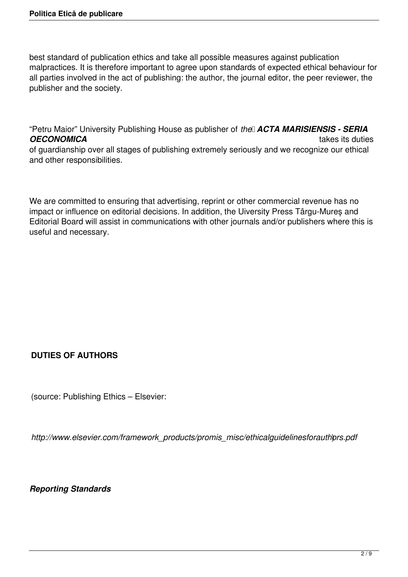best standard of publication ethics and take all possible measures against publication malpractices. It is therefore important to agree upon standards of expected ethical behaviour for all parties involved in the act of publishing: the author, the journal editor, the peer reviewer, the publisher and the society.

"Petru Maior" University Publishing House as publisher of *the ACTA MARISIENSIS - SERIA OECONOMICA* takes its duties of guardianship over all stages of publishing extremely seriously and we recognize our ethical and other responsibilities.

We are committed to ensuring that advertising, reprint or other commercial revenue has no impact or influence on editorial decisions. In addition, the Uiversity Press Târgu-Mureș and Editorial Board will assist in communications with other journals and/or publishers where this is useful and necessary.

# **DUTIES OF AUTHORS**

(source: Publishing Ethics – Elsevier:

*http://www.elsevier.com/framework\_products/promis\_misc/ethicalguidelinesforauthors.pdf* )

*Reporting Standards*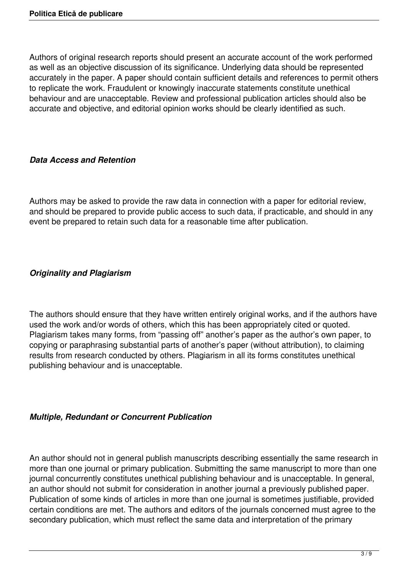Authors of original research reports should present an accurate account of the work performed as well as an objective discussion of its significance. Underlying data should be represented accurately in the paper. A paper should contain sufficient details and references to permit others to replicate the work. Fraudulent or knowingly inaccurate statements constitute unethical behaviour and are unacceptable. Review and professional publication articles should also be accurate and objective, and editorial opinion works should be clearly identified as such.

## *Data Access and Retention*

Authors may be asked to provide the raw data in connection with a paper for editorial review, and should be prepared to provide public access to such data, if practicable, and should in any event be prepared to retain such data for a reasonable time after publication.

## *Originality and Plagiarism*

The authors should ensure that they have written entirely original works, and if the authors have used the work and/or words of others, which this has been appropriately cited or quoted. Plagiarism takes many forms, from "passing off" another's paper as the author's own paper, to copying or paraphrasing substantial parts of another's paper (without attribution), to claiming results from research conducted by others. Plagiarism in all its forms constitutes unethical publishing behaviour and is unacceptable.

## *Multiple, Redundant or Concurrent Publication*

An author should not in general publish manuscripts describing essentially the same research in more than one journal or primary publication. Submitting the same manuscript to more than one journal concurrently constitutes unethical publishing behaviour and is unacceptable. In general, an author should not submit for consideration in another journal a previously published paper. Publication of some kinds of articles in more than one journal is sometimes justifiable, provided certain conditions are met. The authors and editors of the journals concerned must agree to the secondary publication, which must reflect the same data and interpretation of the primary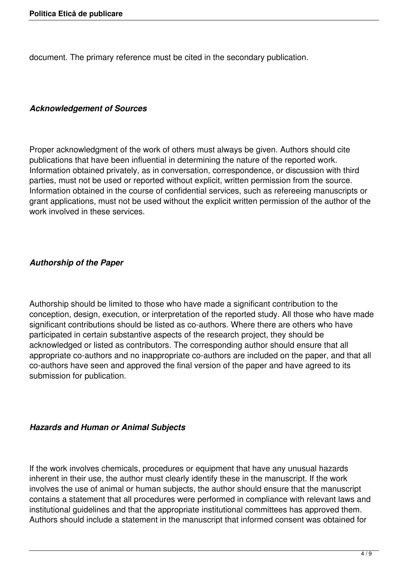document. The primary reference must be cited in the secondary publication.

#### *Acknowledgement of Sources*

Proper acknowledgment of the work of others must always be given. Authors should cite publications that have been influential in determining the nature of the reported work. Information obtained privately, as in conversation, correspondence, or discussion with third parties, must not be used or reported without explicit, written permission from the source. Information obtained in the course of confidential services, such as refereeing manuscripts or grant applications, must not be used without the explicit written permission of the author of the work involved in these services.

# *Authorship of the Paper*

Authorship should be limited to those who have made a significant contribution to the conception, design, execution, or interpretation of the reported study. All those who have made significant contributions should be listed as co-authors. Where there are others who have participated in certain substantive aspects of the research project, they should be acknowledged or listed as contributors. The corresponding author should ensure that all appropriate co-authors and no inappropriate co-authors are included on the paper, and that all co-authors have seen and approved the final version of the paper and have agreed to its submission for publication.

## *Hazards and Human or Animal Subjects*

If the work involves chemicals, procedures or equipment that have any unusual hazards inherent in their use, the author must clearly identify these in the manuscript. If the work involves the use of animal or human subjects, the author should ensure that the manuscript contains a statement that all procedures were performed in compliance with relevant laws and institutional guidelines and that the appropriate institutional committees has approved them. Authors should include a statement in the manuscript that informed consent was obtained for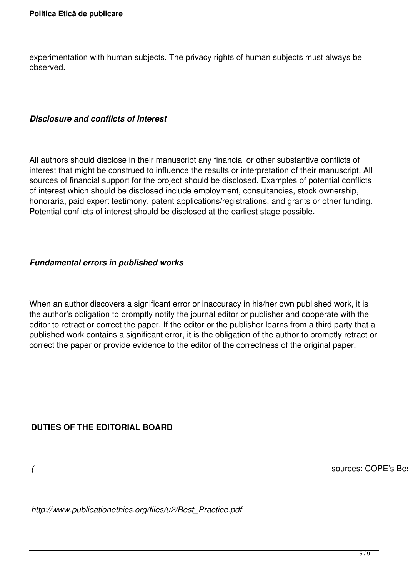experimentation with human subjects. The privacy rights of human subjects must always be observed.

### *Disclosure and conflicts of interest*

All authors should disclose in their manuscript any financial or other substantive conflicts of interest that might be construed to influence the results or interpretation of their manuscript. All sources of financial support for the project should be disclosed. Examples of potential conflicts of interest which should be disclosed include employment, consultancies, stock ownership, honoraria, paid expert testimony, patent applications/registrations, and grants or other funding. Potential conflicts of interest should be disclosed at the earliest stage possible.

## *Fundamental errors in published works*

When an author discovers a significant error or inaccuracy in his/her own published work, it is the author's obligation to promptly notify the journal editor or publisher and cooperate with the editor to retract or correct the paper. If the editor or the publisher learns from a third party that a published work contains a significant error, it is the obligation of the author to promptly retract or correct the paper or provide evidence to the editor of the correctness of the original paper.

## **DUTIES OF THE EDITORIAL BOARD**

*(* sources: COPE's Best Practice Guidelines for Journal Editors:

*http://www.publicationethics.org/files/u2/Best\_Practice.pdf*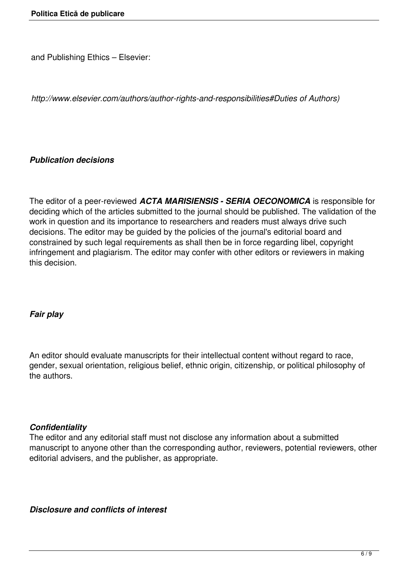and Publishing Ethics – Elsevier:

*http://www.elsevier.com/authors/author-rights-and-responsibilities#Duties of Authors)*

### *Publication decisions*

The editor of a peer-reviewed *ACTA MARISIENSIS - SERIA OECONOMICA* is responsible for deciding which of the articles submitted to the journal should be published. The validation of the work in question and its importance to researchers and readers must always drive such decisions. The editor may be guided by the policies of the journal's editorial board and constrained by such legal requirements as shall then be in force regarding libel, copyright infringement and plagiarism. The editor may confer with other editors or reviewers in making this decision.

## *Fair play*

An editor should evaluate manuscripts for their intellectual content without regard to race, gender, sexual orientation, religious belief, ethnic origin, citizenship, or political philosophy of the authors.

#### *Confidentiality*

The editor and any editorial staff must not disclose any information about a submitted manuscript to anyone other than the corresponding author, reviewers, potential reviewers, other editorial advisers, and the publisher, as appropriate.

*Disclosure and conflicts of interest*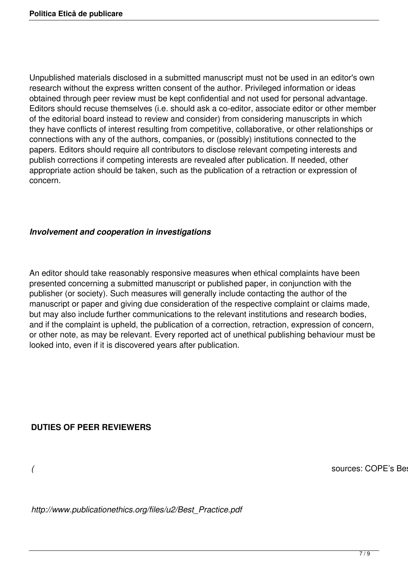Unpublished materials disclosed in a submitted manuscript must not be used in an editor's own research without the express written consent of the author. Privileged information or ideas obtained through peer review must be kept confidential and not used for personal advantage. Editors should recuse themselves (i.e. should ask a co-editor, associate editor or other member of the editorial board instead to review and consider) from considering manuscripts in which they have conflicts of interest resulting from competitive, collaborative, or other relationships or connections with any of the authors, companies, or (possibly) institutions connected to the papers. Editors should require all contributors to disclose relevant competing interests and publish corrections if competing interests are revealed after publication. If needed, other appropriate action should be taken, such as the publication of a retraction or expression of concern.

### *Involvement and cooperation in investigations*

An editor should take reasonably responsive measures when ethical complaints have been presented concerning a submitted manuscript or published paper, in conjunction with the publisher (or society). Such measures will generally include contacting the author of the manuscript or paper and giving due consideration of the respective complaint or claims made, but may also include further communications to the relevant institutions and research bodies, and if the complaint is upheld, the publication of a correction, retraction, expression of concern, or other note, as may be relevant. Every reported act of unethical publishing behaviour must be looked into, even if it is discovered years after publication.

## **DUTIES OF PEER REVIEWERS**

*(* sources: COPE's Best Practice Guidelines for Journal Editors:

*http://www.publicationethics.org/files/u2/Best\_Practice.pdf*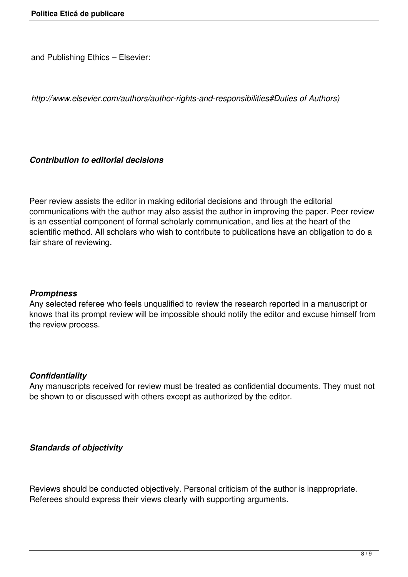and Publishing Ethics – Elsevier:

*http://www.elsevier.com/authors/author-rights-and-responsibilities#Duties of Authors)*

### *Contribution to editorial decisions*

Peer review assists the editor in making editorial decisions and through the editorial communications with the author may also assist the author in improving the paper. Peer review is an essential component of formal scholarly communication, and lies at the heart of the scientific method. All scholars who wish to contribute to publications have an obligation to do a fair share of reviewing.

#### *Promptness*

Any selected referee who feels unqualified to review the research reported in a manuscript or knows that its prompt review will be impossible should notify the editor and excuse himself from the review process.

#### *Confidentiality*

Any manuscripts received for review must be treated as confidential documents. They must not be shown to or discussed with others except as authorized by the editor.

#### *Standards of objectivity*

Reviews should be conducted objectively. Personal criticism of the author is inappropriate. Referees should express their views clearly with supporting arguments.